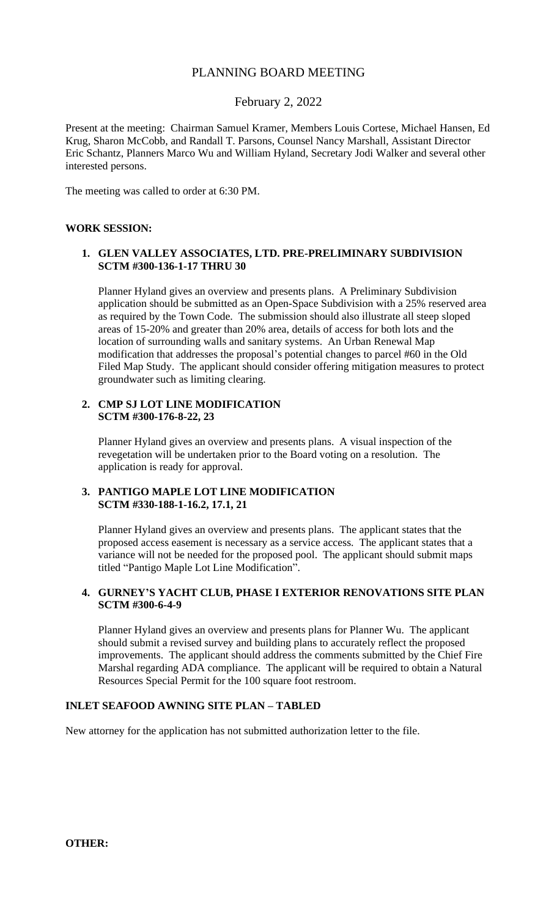# PLANNING BOARD MEETING

# February 2, 2022

Present at the meeting: Chairman Samuel Kramer, Members Louis Cortese, Michael Hansen, Ed Krug, Sharon McCobb, and Randall T. Parsons, Counsel Nancy Marshall, Assistant Director Eric Schantz, Planners Marco Wu and William Hyland, Secretary Jodi Walker and several other interested persons.

The meeting was called to order at 6:30 PM.

### **WORK SESSION:**

## **1. GLEN VALLEY ASSOCIATES, LTD. PRE-PRELIMINARY SUBDIVISION SCTM #300-136-1-17 THRU 30**

Planner Hyland gives an overview and presents plans. A Preliminary Subdivision application should be submitted as an Open-Space Subdivision with a 25% reserved area as required by the Town Code. The submission should also illustrate all steep sloped areas of 15-20% and greater than 20% area, details of access for both lots and the location of surrounding walls and sanitary systems. An Urban Renewal Map modification that addresses the proposal's potential changes to parcel #60 in the Old Filed Map Study. The applicant should consider offering mitigation measures to protect groundwater such as limiting clearing.

### **2. CMP SJ LOT LINE MODIFICATION SCTM #300-176-8-22, 23**

Planner Hyland gives an overview and presents plans. A visual inspection of the revegetation will be undertaken prior to the Board voting on a resolution. The application is ready for approval.

# **3. PANTIGO MAPLE LOT LINE MODIFICATION SCTM #330-188-1-16.2, 17.1, 21**

Planner Hyland gives an overview and presents plans. The applicant states that the proposed access easement is necessary as a service access. The applicant states that a variance will not be needed for the proposed pool. The applicant should submit maps titled "Pantigo Maple Lot Line Modification".

# **4. GURNEY'S YACHT CLUB, PHASE I EXTERIOR RENOVATIONS SITE PLAN SCTM #300-6-4-9**

Planner Hyland gives an overview and presents plans for Planner Wu. The applicant should submit a revised survey and building plans to accurately reflect the proposed improvements. The applicant should address the comments submitted by the Chief Fire Marshal regarding ADA compliance. The applicant will be required to obtain a Natural Resources Special Permit for the 100 square foot restroom.

# **INLET SEAFOOD AWNING SITE PLAN – TABLED**

New attorney for the application has not submitted authorization letter to the file.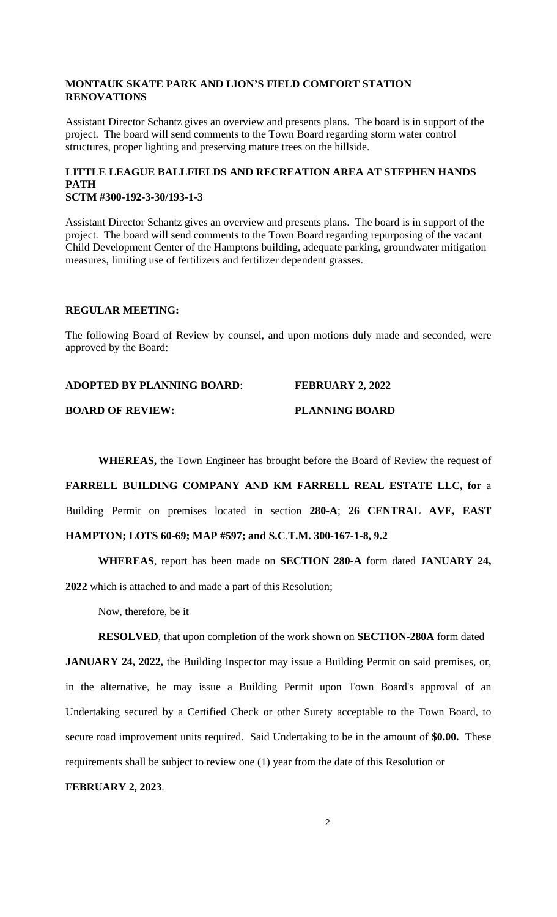# **MONTAUK SKATE PARK AND LION'S FIELD COMFORT STATION RENOVATIONS**

Assistant Director Schantz gives an overview and presents plans. The board is in support of the project. The board will send comments to the Town Board regarding storm water control structures, proper lighting and preserving mature trees on the hillside.

# **LITTLE LEAGUE BALLFIELDS AND RECREATION AREA AT STEPHEN HANDS PATH SCTM #300-192-3-30/193-1-3**

Assistant Director Schantz gives an overview and presents plans. The board is in support of the project. The board will send comments to the Town Board regarding repurposing of the vacant Child Development Center of the Hamptons building, adequate parking, groundwater mitigation measures, limiting use of fertilizers and fertilizer dependent grasses.

# **REGULAR MEETING:**

The following Board of Review by counsel, and upon motions duly made and seconded, were approved by the Board:

| <b>ADOPTED BY PLANNING BOARD:</b> | <b>FEBRUARY 2, 2022</b> |
|-----------------------------------|-------------------------|
| <b>BOARD OF REVIEW:</b>           | <b>PLANNING BOARD</b>   |

**WHEREAS,** the Town Engineer has brought before the Board of Review the request of

**FARRELL BUILDING COMPANY AND KM FARRELL REAL ESTATE LLC, for** a Building Permit on premises located in section **280-A**; **26 CENTRAL AVE, EAST HAMPTON; LOTS 60-69; MAP #597; and S.C**.**T.M. 300-167-1-8, 9.2**

**WHEREAS**, report has been made on **SECTION 280-A** form dated **JANUARY 24, 2022** which is attached to and made a part of this Resolution;

Now, therefore, be it

# **RESOLVED**, that upon completion of the work shown on **SECTION-280A** form dated

**JANUARY 24, 2022,** the Building Inspector may issue a Building Permit on said premises, or, in the alternative, he may issue a Building Permit upon Town Board's approval of an Undertaking secured by a Certified Check or other Surety acceptable to the Town Board, to secure road improvement units required. Said Undertaking to be in the amount of **\$0.00.** These requirements shall be subject to review one (1) year from the date of this Resolution or

#### **FEBRUARY 2, 2023**.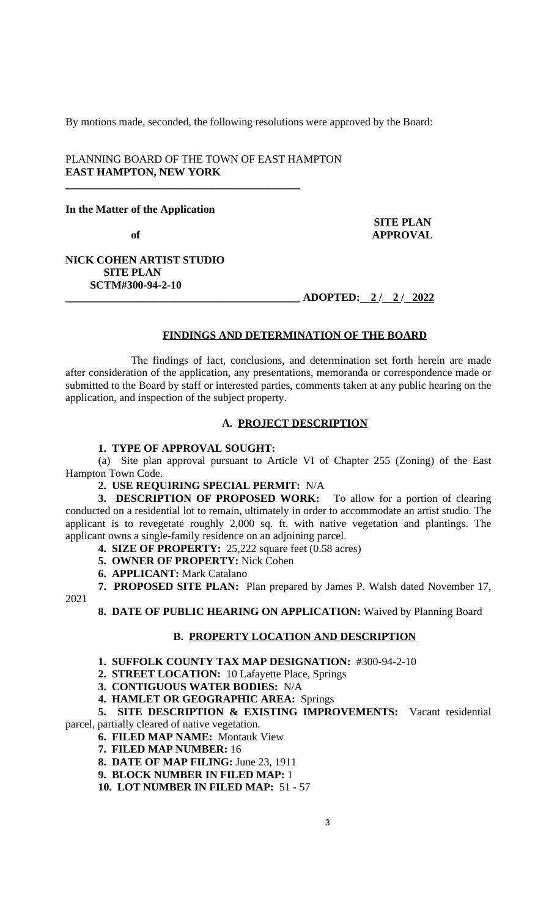By motions made, seconded, the following resolutions were approved by the Board:

### PLANNING BOARD OF THE TOWN OF EAST HAMPTON **EAST HAMPTON, NEW YORK**

**\_\_\_\_\_\_\_\_\_\_\_\_\_\_\_\_\_\_\_\_\_\_\_\_\_\_\_\_\_\_\_\_\_\_\_\_\_\_\_\_\_\_\_**

**In the Matter of the Application**

 **SITE PLAN** of **APPROVAL** 

### **NICK COHEN ARTIST STUDIO SITE PLAN SCTM#300-94-2-10**

**\_\_\_\_\_\_\_\_\_\_\_\_\_\_\_\_\_\_\_\_\_\_\_\_\_\_\_\_\_\_\_\_\_\_\_\_\_\_\_\_\_\_\_ ADOPTED: 2 / 2 / 2022**

### **FINDINGS AND DETERMINATION OF THE BOARD**

The findings of fact, conclusions, and determination set forth herein are made after consideration of the application, any presentations, memoranda or correspondence made or submitted to the Board by staff or interested parties, comments taken at any public hearing on the application, and inspection of the subject property.

### **A. PROJECT DESCRIPTION**

# **1. TYPE OF APPROVAL SOUGHT:**

(a) Site plan approval pursuant to Article VI of Chapter 255 (Zoning) of the East Hampton Town Code.

**2. USE REQUIRING SPECIAL PERMIT:** N/A

**3. DESCRIPTION OF PROPOSED WORK:** To allow for a portion of clearing conducted on a residential lot to remain, ultimately in order to accommodate an artist studio. The applicant is to revegetate roughly 2,000 sq. ft. with native vegetation and plantings. The applicant owns a single-family residence on an adjoining parcel.

- **4. SIZE OF PROPERTY:** 25,222 square feet (0.58 acres)
- **5. OWNER OF PROPERTY:** Nick Cohen
- **6. APPLICANT:** Mark Catalano

**7. PROPOSED SITE PLAN:** Plan prepared by James P. Walsh dated November 17,

2021

**8. DATE OF PUBLIC HEARING ON APPLICATION:** Waived by Planning Board

#### **B. PROPERTY LOCATION AND DESCRIPTION**

**1. SUFFOLK COUNTY TAX MAP DESIGNATION:** #300-94-2-10

**2. STREET LOCATION:** 10 Lafayette Place, Springs

**3. CONTIGUOUS WATER BODIES:** N/A

**4. HAMLET OR GEOGRAPHIC AREA:** Springs

**5. SITE DESCRIPTION & EXISTING IMPROVEMENTS:** Vacant residential parcel, partially cleared of native vegetation.

**6. FILED MAP NAME:** Montauk View

- **7. FILED MAP NUMBER:** 16
- **8. DATE OF MAP FILING:** June 23, 1911
- **9. BLOCK NUMBER IN FILED MAP:** 1

**10. LOT NUMBER IN FILED MAP:** 51 - 57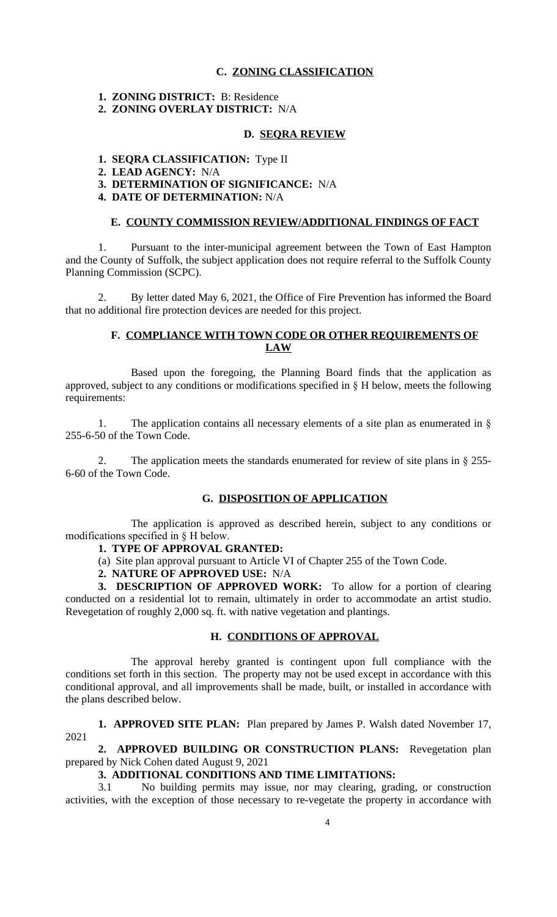### **C. ZONING CLASSIFICATION**

**1. ZONING DISTRICT:** B: Residence

**2. ZONING OVERLAY DISTRICT:** N/A

## **D. SEQRA REVIEW**

- **1. SEQRA CLASSIFICATION:** Type II
- **2. LEAD AGENCY:** N/A
- **3. DETERMINATION OF SIGNIFICANCE:** N/A
- **4. DATE OF DETERMINATION:** N/A

### **E. COUNTY COMMISSION REVIEW/ADDITIONAL FINDINGS OF FACT**

1. Pursuant to the inter-municipal agreement between the Town of East Hampton and the County of Suffolk, the subject application does not require referral to the Suffolk County Planning Commission (SCPC).

2. By letter dated May 6, 2021, the Office of Fire Prevention has informed the Board that no additional fire protection devices are needed for this project.

### **F. COMPLIANCE WITH TOWN CODE OR OTHER REQUIREMENTS OF LAW**

Based upon the foregoing, the Planning Board finds that the application as approved, subject to any conditions or modifications specified in § H below, meets the following requirements:

1. The application contains all necessary elements of a site plan as enumerated in § 255-6-50 of the Town Code.

The application meets the standards enumerated for review of site plans in  $\S$  255-6-60 of the Town Code.

### **G. DISPOSITION OF APPLICATION**

The application is approved as described herein, subject to any conditions or modifications specified in § H below.

### **1. TYPE OF APPROVAL GRANTED:**

(a) Site plan approval pursuant to Article VI of Chapter 255 of the Town Code.

**2. NATURE OF APPROVED USE:** N/A

**3. DESCRIPTION OF APPROVED WORK:** To allow for a portion of clearing conducted on a residential lot to remain, ultimately in order to accommodate an artist studio. Revegetation of roughly 2,000 sq. ft. with native vegetation and plantings.

### **H. CONDITIONS OF APPROVAL**

The approval hereby granted is contingent upon full compliance with the conditions set forth in this section. The property may not be used except in accordance with this conditional approval, and all improvements shall be made, built, or installed in accordance with the plans described below.

**1. APPROVED SITE PLAN:** Plan prepared by James P. Walsh dated November 17, 2021

# **2. APPROVED BUILDING OR CONSTRUCTION PLANS:** Revegetation plan prepared by Nick Cohen dated August 9, 2021

### **3. ADDITIONAL CONDITIONS AND TIME LIMITATIONS:**

3.1 No building permits may issue, nor may clearing, grading, or construction activities, with the exception of those necessary to re-vegetate the property in accordance with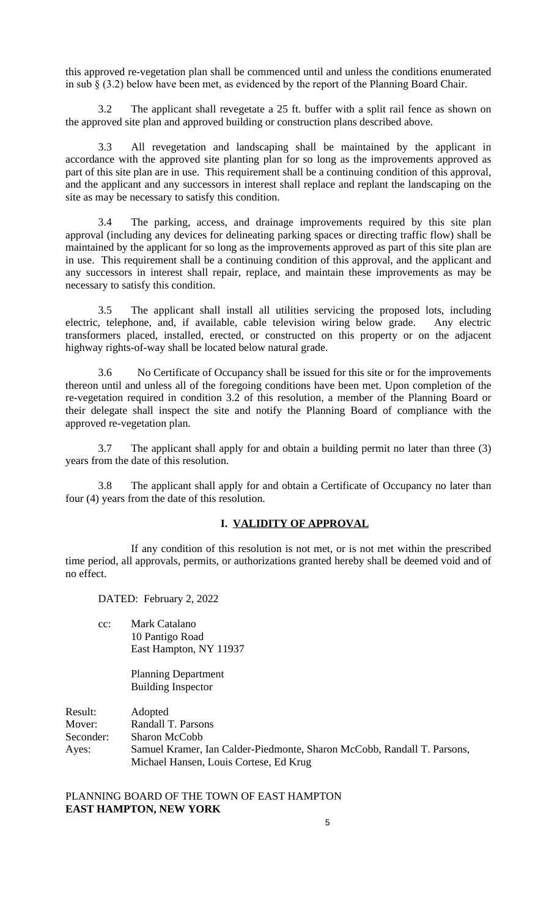this approved re-vegetation plan shall be commenced until and unless the conditions enumerated in sub § (3.2) below have been met, as evidenced by the report of the Planning Board Chair.

3.2 The applicant shall revegetate a 25 ft. buffer with a split rail fence as shown on the approved site plan and approved building or construction plans described above.

3.3 All revegetation and landscaping shall be maintained by the applicant in accordance with the approved site planting plan for so long as the improvements approved as part of this site plan are in use. This requirement shall be a continuing condition of this approval, and the applicant and any successors in interest shall replace and replant the landscaping on the site as may be necessary to satisfy this condition.

3.4 The parking, access, and drainage improvements required by this site plan approval (including any devices for delineating parking spaces or directing traffic flow) shall be maintained by the applicant for so long as the improvements approved as part of this site plan are in use. This requirement shall be a continuing condition of this approval, and the applicant and any successors in interest shall repair, replace, and maintain these improvements as may be necessary to satisfy this condition.

3.5 The applicant shall install all utilities servicing the proposed lots, including electric, telephone, and, if available, cable television wiring below grade. Any electric transformers placed, installed, erected, or constructed on this property or on the adjacent highway rights-of-way shall be located below natural grade.

3.6 No Certificate of Occupancy shall be issued for this site or for the improvements thereon until and unless all of the foregoing conditions have been met. Upon completion of the re-vegetation required in condition 3.2 of this resolution, a member of the Planning Board or their delegate shall inspect the site and notify the Planning Board of compliance with the approved re-vegetation plan.

3.7 The applicant shall apply for and obtain a building permit no later than three (3) years from the date of this resolution.

3.8 The applicant shall apply for and obtain a Certificate of Occupancy no later than four (4) years from the date of this resolution.

### **I. VALIDITY OF APPROVAL**

If any condition of this resolution is not met, or is not met within the prescribed time period, all approvals, permits, or authorizations granted hereby shall be deemed void and of no effect.

DATED: February 2, 2022

cc: Mark Catalano 10 Pantigo Road East Hampton, NY 11937

> Planning Department Building Inspector

Result: Adopted Mover: Randall T. Parsons Seconder: Sharon McCobb Ayes: Samuel Kramer, Ian Calder-Piedmonte, Sharon McCobb, Randall T. Parsons, Michael Hansen, Louis Cortese, Ed Krug

PLANNING BOARD OF THE TOWN OF EAST HAMPTON **EAST HAMPTON, NEW YORK**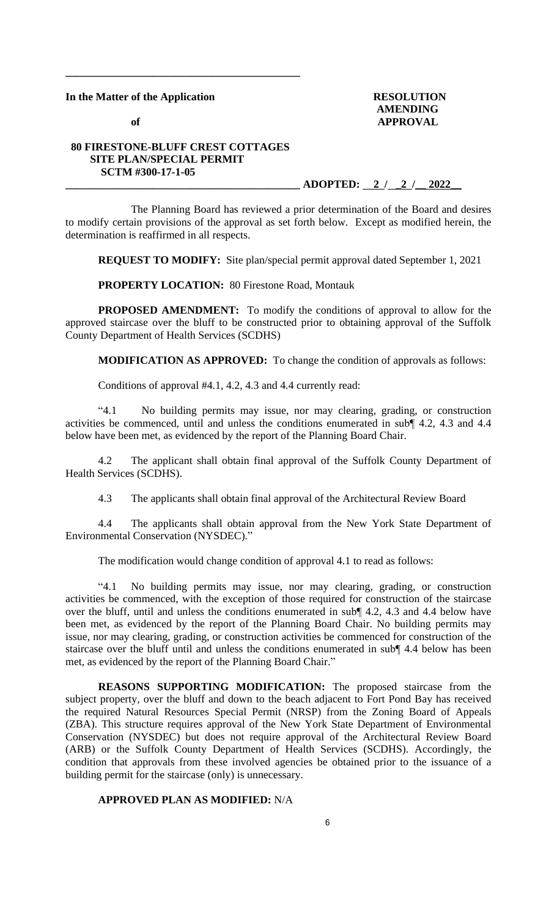### **In the Matter of the Application RESOLUTION**

 **AMENDING** of **APPROVAL** 

# **80 FIRESTONE-BLUFF CREST COTTAGES SITE PLAN/SPECIAL PERMIT SCTM #300-17-1-05**

**\_\_\_\_\_\_\_\_\_\_\_\_\_\_\_\_\_\_\_\_\_\_\_\_\_\_\_\_\_\_\_\_\_\_\_\_\_\_\_\_\_\_\_**

**\_\_\_\_\_\_\_\_\_\_\_\_\_\_\_\_\_\_\_\_\_\_\_\_\_\_\_\_\_\_\_\_\_\_\_\_\_\_\_\_\_\_\_ ADOPTED: 2 / \_2 /\_\_ 2022\_\_**

The Planning Board has reviewed a prior determination of the Board and desires to modify certain provisions of the approval as set forth below. Except as modified herein, the determination is reaffirmed in all respects.

**REQUEST TO MODIFY:** Site plan/special permit approval dated September 1, 2021

**PROPERTY LOCATION:** 80 Firestone Road, Montauk

**PROPOSED AMENDMENT:** To modify the conditions of approval to allow for the approved staircase over the bluff to be constructed prior to obtaining approval of the Suffolk County Department of Health Services (SCDHS)

**MODIFICATION AS APPROVED:** To change the condition of approvals as follows:

Conditions of approval #4.1, 4.2, 4.3 and 4.4 currently read:

"4.1 No building permits may issue, nor may clearing, grading, or construction activities be commenced, until and unless the conditions enumerated in sub¶ 4.2, 4.3 and 4.4 below have been met, as evidenced by the report of the Planning Board Chair.

4.2 The applicant shall obtain final approval of the Suffolk County Department of Health Services (SCDHS).

4.3 The applicants shall obtain final approval of the Architectural Review Board

4.4 The applicants shall obtain approval from the New York State Department of Environmental Conservation (NYSDEC)."

The modification would change condition of approval 4.1 to read as follows:

"4.1 No building permits may issue, nor may clearing, grading, or construction activities be commenced, with the exception of those required for construction of the staircase over the bluff, until and unless the conditions enumerated in sub¶ 4.2, 4.3 and 4.4 below have been met, as evidenced by the report of the Planning Board Chair. No building permits may issue, nor may clearing, grading, or construction activities be commenced for construction of the staircase over the bluff until and unless the conditions enumerated in sub¶ 4.4 below has been met, as evidenced by the report of the Planning Board Chair."

**REASONS SUPPORTING MODIFICATION:** The proposed staircase from the subject property, over the bluff and down to the beach adjacent to Fort Pond Bay has received the required Natural Resources Special Permit (NRSP) from the Zoning Board of Appeals (ZBA). This structure requires approval of the New York State Department of Environmental Conservation (NYSDEC) but does not require approval of the Architectural Review Board (ARB) or the Suffolk County Department of Health Services (SCDHS). Accordingly, the condition that approvals from these involved agencies be obtained prior to the issuance of a building permit for the staircase (only) is unnecessary.

# **APPROVED PLAN AS MODIFIED:** N/A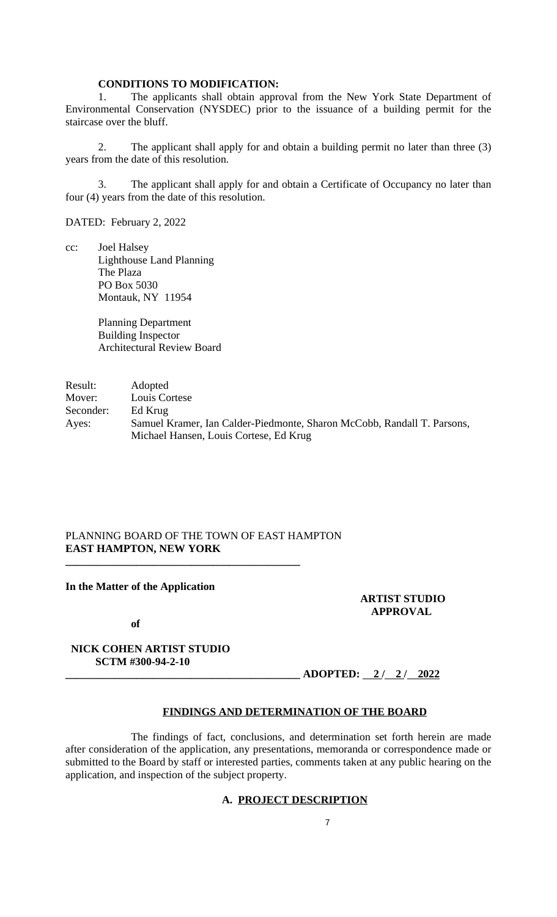# **CONDITIONS TO MODIFICATION:**

1. The applicants shall obtain approval from the New York State Department of Environmental Conservation (NYSDEC) prior to the issuance of a building permit for the staircase over the bluff.

2. The applicant shall apply for and obtain a building permit no later than three (3) years from the date of this resolution.

3. The applicant shall apply for and obtain a Certificate of Occupancy no later than four (4) years from the date of this resolution.

DATED: February 2, 2022

cc: Joel Halsey Lighthouse Land Planning The Plaza PO Box 5030 Montauk, NY 11954

> Planning Department Building Inspector Architectural Review Board

Result: Adopted Mover: Louis Cortese<br>Seconder: Ed Krug Seconder: Ayes: Samuel Kramer, Ian Calder-Piedmonte, Sharon McCobb, Randall T. Parsons, Michael Hansen, Louis Cortese, Ed Krug

# PLANNING BOARD OF THE TOWN OF EAST HAMPTON **EAST HAMPTON, NEW YORK**

**\_\_\_\_\_\_\_\_\_\_\_\_\_\_\_\_\_\_\_\_\_\_\_\_\_\_\_\_\_\_\_\_\_\_\_\_\_\_\_\_\_\_\_**

#### **In the Matter of the Application**

**ARTIST STUDIO APPROVAL**

 **of** 

 **NICK COHEN ARTIST STUDIO SCTM #300-94-2-10** 

**\_\_\_\_\_\_\_\_\_\_\_\_\_\_\_\_\_\_\_\_\_\_\_\_\_\_\_\_\_\_\_\_\_\_\_\_\_\_\_\_\_\_\_ ADOPTED: 2 / 2 / 2022**

### **FINDINGS AND DETERMINATION OF THE BOARD**

The findings of fact, conclusions, and determination set forth herein are made after consideration of the application, any presentations, memoranda or correspondence made or submitted to the Board by staff or interested parties, comments taken at any public hearing on the application, and inspection of the subject property.

# **A. PROJECT DESCRIPTION**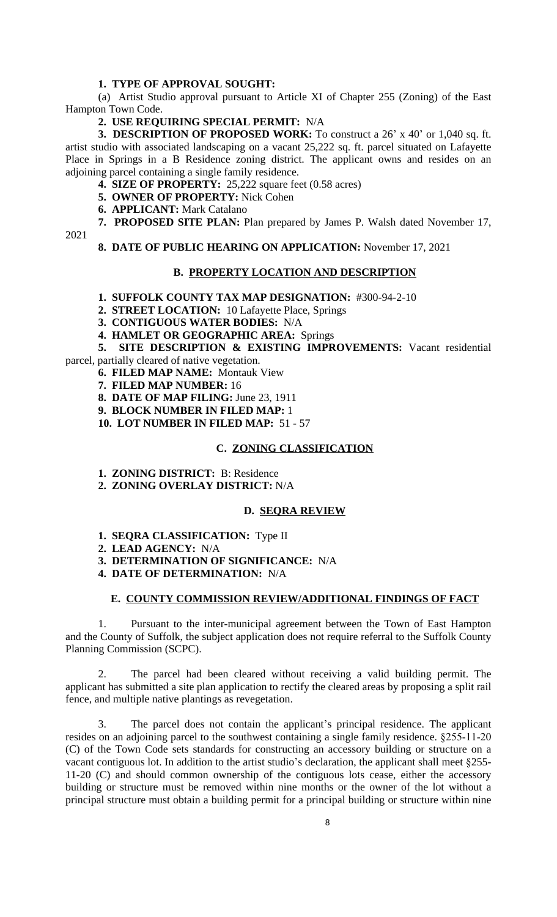### **1. TYPE OF APPROVAL SOUGHT:**

(a) Artist Studio approval pursuant to Article XI of Chapter 255 (Zoning) of the East Hampton Town Code.

#### **2. USE REQUIRING SPECIAL PERMIT:** N/A

**3. DESCRIPTION OF PROPOSED WORK:** To construct a 26' x 40' or 1,040 sq. ft. artist studio with associated landscaping on a vacant 25,222 sq. ft. parcel situated on Lafayette Place in Springs in a B Residence zoning district. The applicant owns and resides on an adjoining parcel containing a single family residence.

**4. SIZE OF PROPERTY:** 25,222 square feet (0.58 acres)

- **5. OWNER OF PROPERTY:** Nick Cohen
- **6. APPLICANT:** Mark Catalano

**7. PROPOSED SITE PLAN:** Plan prepared by James P. Walsh dated November 17,

2021

**8. DATE OF PUBLIC HEARING ON APPLICATION:** November 17, 2021

#### **B. PROPERTY LOCATION AND DESCRIPTION**

- **1. SUFFOLK COUNTY TAX MAP DESIGNATION:** #300-94-2-10
- **2. STREET LOCATION:** 10 Lafayette Place, Springs
- **3. CONTIGUOUS WATER BODIES:** N/A

**4. HAMLET OR GEOGRAPHIC AREA:** Springs

**5. SITE DESCRIPTION & EXISTING IMPROVEMENTS:** Vacant residential parcel, partially cleared of native vegetation.

**6. FILED MAP NAME:** Montauk View

**7. FILED MAP NUMBER:** 16

**8. DATE OF MAP FILING:** June 23, 1911

- **9. BLOCK NUMBER IN FILED MAP:** 1
- **10. LOT NUMBER IN FILED MAP:** 51 57

# **C. ZONING CLASSIFICATION**

- **1. ZONING DISTRICT:** B: Residence
- **2. ZONING OVERLAY DISTRICT:** N/A

### **D. SEQRA REVIEW**

- **1. SEQRA CLASSIFICATION:** Type II
- **2. LEAD AGENCY:** N/A
- **3. DETERMINATION OF SIGNIFICANCE:** N/A
- **4. DATE OF DETERMINATION:** N/A

### **E. COUNTY COMMISSION REVIEW/ADDITIONAL FINDINGS OF FACT**

1. Pursuant to the inter-municipal agreement between the Town of East Hampton and the County of Suffolk, the subject application does not require referral to the Suffolk County Planning Commission (SCPC).

2. The parcel had been cleared without receiving a valid building permit. The applicant has submitted a site plan application to rectify the cleared areas by proposing a split rail fence, and multiple native plantings as revegetation.

3. The parcel does not contain the applicant's principal residence. The applicant resides on an adjoining parcel to the southwest containing a single family residence. §255-11-20 (C) of the Town Code sets standards for constructing an accessory building or structure on a vacant contiguous lot. In addition to the artist studio's declaration, the applicant shall meet §255- 11-20 (C) and should common ownership of the contiguous lots cease, either the accessory building or structure must be removed within nine months or the owner of the lot without a principal structure must obtain a building permit for a principal building or structure within nine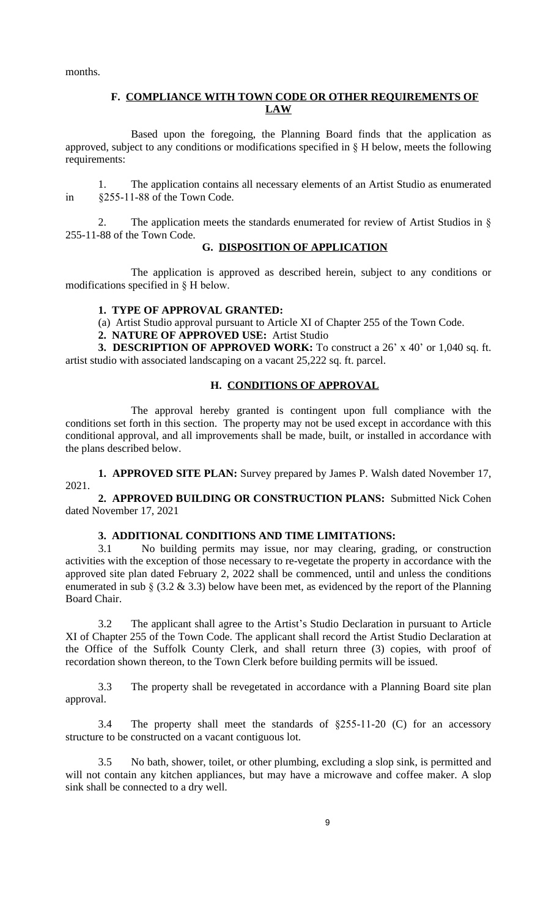months.

# **F. COMPLIANCE WITH TOWN CODE OR OTHER REQUIREMENTS OF LAW**

Based upon the foregoing, the Planning Board finds that the application as approved, subject to any conditions or modifications specified in § H below, meets the following requirements:

1. The application contains all necessary elements of an Artist Studio as enumerated in §255-11-88 of the Town Code.

2. The application meets the standards enumerated for review of Artist Studios in § 255-11-88 of the Town Code.

# **G. DISPOSITION OF APPLICATION**

The application is approved as described herein, subject to any conditions or modifications specified in § H below.

### **1. TYPE OF APPROVAL GRANTED:**

(a) Artist Studio approval pursuant to Article XI of Chapter 255 of the Town Code.

**2. NATURE OF APPROVED USE:** Artist Studio

**3. DESCRIPTION OF APPROVED WORK:** To construct a 26' x 40' or 1,040 sq. ft. artist studio with associated landscaping on a vacant 25,222 sq. ft. parcel.

## **H. CONDITIONS OF APPROVAL**

The approval hereby granted is contingent upon full compliance with the conditions set forth in this section. The property may not be used except in accordance with this conditional approval, and all improvements shall be made, built, or installed in accordance with the plans described below.

**1. APPROVED SITE PLAN:** Survey prepared by James P. Walsh dated November 17, 2021.

**2. APPROVED BUILDING OR CONSTRUCTION PLANS:** Submitted Nick Cohen dated November 17, 2021

# **3. ADDITIONAL CONDITIONS AND TIME LIMITATIONS:**

3.1 No building permits may issue, nor may clearing, grading, or construction activities with the exception of those necessary to re-vegetate the property in accordance with the approved site plan dated February 2, 2022 shall be commenced, until and unless the conditions enumerated in sub  $\S$  (3.2 & 3.3) below have been met, as evidenced by the report of the Planning Board Chair.

3.2 The applicant shall agree to the Artist's Studio Declaration in pursuant to Article XI of Chapter 255 of the Town Code. The applicant shall record the Artist Studio Declaration at the Office of the Suffolk County Clerk, and shall return three (3) copies, with proof of recordation shown thereon, to the Town Clerk before building permits will be issued.

3.3 The property shall be revegetated in accordance with a Planning Board site plan approval.

3.4 The property shall meet the standards of §255-11-20 (C) for an accessory structure to be constructed on a vacant contiguous lot.

3.5 No bath, shower, toilet, or other plumbing, excluding a slop sink, is permitted and will not contain any kitchen appliances, but may have a microwave and coffee maker. A slop sink shall be connected to a dry well.